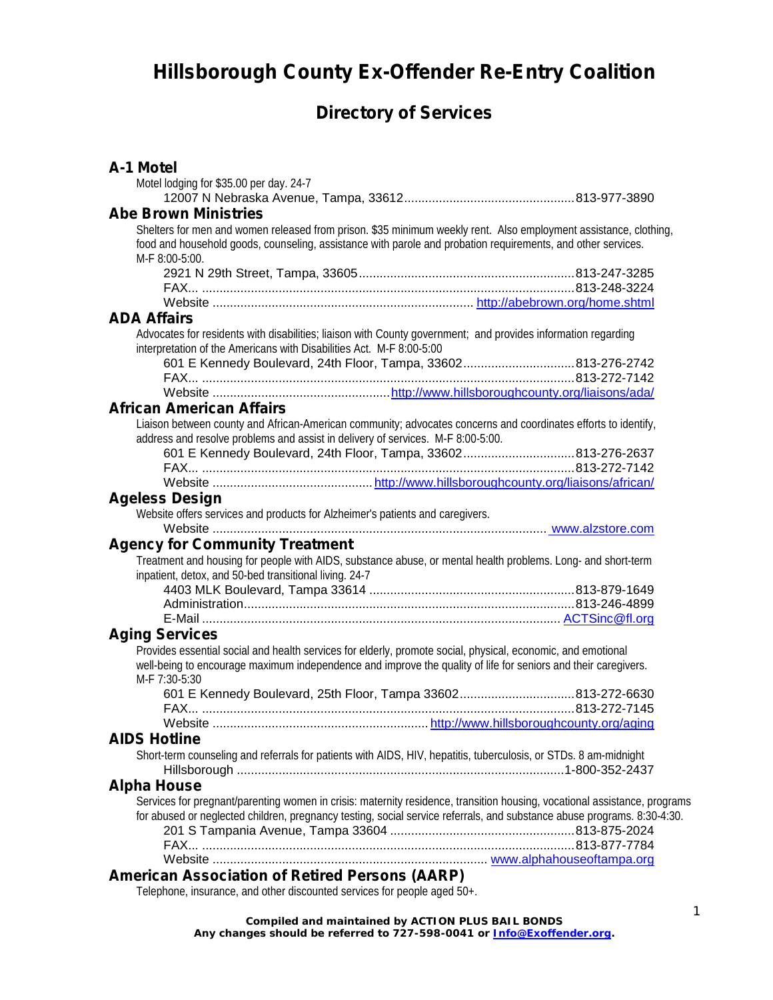## **Hillsborough County Ex-Offender Re-Entry Coalition**

## **Directory of Services**

| A-1 Motel                                                                                                                                                                                                                                          |  |
|----------------------------------------------------------------------------------------------------------------------------------------------------------------------------------------------------------------------------------------------------|--|
| Motel lodging for \$35.00 per day. 24-7                                                                                                                                                                                                            |  |
|                                                                                                                                                                                                                                                    |  |
| <b>Abe Brown Ministries</b>                                                                                                                                                                                                                        |  |
| Shelters for men and women released from prison. \$35 minimum weekly rent. Also employment assistance, clothing,<br>food and household goods, counseling, assistance with parole and probation requirements, and other services.<br>M-F 8:00-5:00. |  |
|                                                                                                                                                                                                                                                    |  |
|                                                                                                                                                                                                                                                    |  |
|                                                                                                                                                                                                                                                    |  |
| <b>ADA Affairs</b>                                                                                                                                                                                                                                 |  |
| Advocates for residents with disabilities; liaison with County government; and provides information regarding<br>interpretation of the Americans with Disabilities Act. M-F 8:00-5:00                                                              |  |
| 601 E Kennedy Boulevard, 24th Floor, Tampa, 33602813-276-2742                                                                                                                                                                                      |  |
|                                                                                                                                                                                                                                                    |  |
|                                                                                                                                                                                                                                                    |  |
| <b>African American Affairs</b>                                                                                                                                                                                                                    |  |
| Liaison between county and African-American community; advocates concerns and coordinates efforts to identify,                                                                                                                                     |  |
| address and resolve problems and assist in delivery of services. M-F 8:00-5:00.                                                                                                                                                                    |  |
| 601 E Kennedy Boulevard, 24th Floor, Tampa, 33602813-276-2637                                                                                                                                                                                      |  |
|                                                                                                                                                                                                                                                    |  |
|                                                                                                                                                                                                                                                    |  |
| <b>Ageless Design</b>                                                                                                                                                                                                                              |  |
| Website offers services and products for Alzheimer's patients and caregivers.                                                                                                                                                                      |  |
| <b>Agency for Community Treatment</b>                                                                                                                                                                                                              |  |
| Treatment and housing for people with AIDS, substance abuse, or mental health problems. Long- and short-term                                                                                                                                       |  |
| inpatient, detox, and 50-bed transitional living. 24-7                                                                                                                                                                                             |  |
|                                                                                                                                                                                                                                                    |  |
|                                                                                                                                                                                                                                                    |  |
|                                                                                                                                                                                                                                                    |  |
| <b>Aging Services</b>                                                                                                                                                                                                                              |  |
| Provides essential social and health services for elderly, promote social, physical, economic, and emotional                                                                                                                                       |  |
| well-being to encourage maximum independence and improve the quality of life for seniors and their caregivers.<br>M-F 7:30-5:30                                                                                                                    |  |
| 601 E Kennedy Boulevard, 25th Floor, Tampa 33602813-272-6630                                                                                                                                                                                       |  |
|                                                                                                                                                                                                                                                    |  |
|                                                                                                                                                                                                                                                    |  |
| <b>AIDS Hotline</b>                                                                                                                                                                                                                                |  |
| Short-term counseling and referrals for patients with AIDS, HIV, hepatitis, tuberculosis, or STDs. 8 am-midnight                                                                                                                                   |  |
| <b>Alpha House</b>                                                                                                                                                                                                                                 |  |
| Services for pregnant/parenting women in crisis: maternity residence, transition housing, vocational assistance, programs                                                                                                                          |  |
| for abused or neglected children, pregnancy testing, social service referrals, and substance abuse programs. 8:30-4:30.                                                                                                                            |  |
|                                                                                                                                                                                                                                                    |  |
|                                                                                                                                                                                                                                                    |  |
|                                                                                                                                                                                                                                                    |  |
| <b>American Association of Retired Persons (AARP)</b>                                                                                                                                                                                              |  |
| Telephone, insurance, and other discounted services for people aged 50+.                                                                                                                                                                           |  |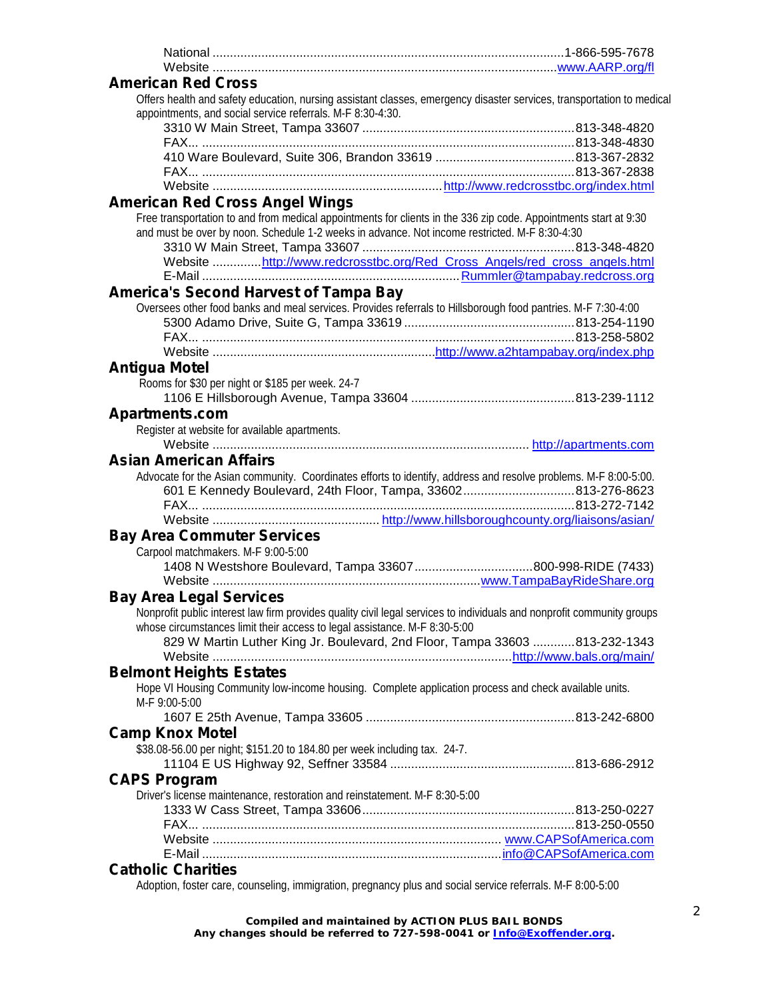| <b>American Red Cross</b>                                                                                                                                                                                         |  |
|-------------------------------------------------------------------------------------------------------------------------------------------------------------------------------------------------------------------|--|
| Offers health and safety education, nursing assistant classes, emergency disaster services, transportation to medical<br>appointments, and social service referrals. M-F 8:30-4:30.                               |  |
|                                                                                                                                                                                                                   |  |
|                                                                                                                                                                                                                   |  |
|                                                                                                                                                                                                                   |  |
|                                                                                                                                                                                                                   |  |
|                                                                                                                                                                                                                   |  |
| <b>American Red Cross Angel Wings</b>                                                                                                                                                                             |  |
| Free transportation to and from medical appointments for clients in the 336 zip code. Appointments start at 9:30<br>and must be over by noon. Schedule 1-2 weeks in advance. Not income restricted. M-F 8:30-4:30 |  |
|                                                                                                                                                                                                                   |  |
| Website http://www.redcrosstbc.org/Red_Cross_Angels/red_cross_angels.html                                                                                                                                         |  |
|                                                                                                                                                                                                                   |  |
| <b>America's Second Harvest of Tampa Bay</b>                                                                                                                                                                      |  |
| Oversees other food banks and meal services. Provides referrals to Hillsborough food pantries. M-F 7:30-4:00                                                                                                      |  |
|                                                                                                                                                                                                                   |  |
|                                                                                                                                                                                                                   |  |
|                                                                                                                                                                                                                   |  |
| <b>Antigua Motel</b>                                                                                                                                                                                              |  |
| Rooms for \$30 per night or \$185 per week. 24-7                                                                                                                                                                  |  |
|                                                                                                                                                                                                                   |  |
| <b>Apartments.com</b>                                                                                                                                                                                             |  |
| Register at website for available apartments.                                                                                                                                                                     |  |
|                                                                                                                                                                                                                   |  |
| <b>Asian American Affairs</b>                                                                                                                                                                                     |  |
| Advocate for the Asian community. Coordinates efforts to identify, address and resolve problems. M-F 8:00-5:00.                                                                                                   |  |
| 601 E Kennedy Boulevard, 24th Floor, Tampa, 33602813-276-8623                                                                                                                                                     |  |
|                                                                                                                                                                                                                   |  |
|                                                                                                                                                                                                                   |  |
| <b>Bay Area Commuter Services</b>                                                                                                                                                                                 |  |
| Carpool matchmakers. M-F 9:00-5:00                                                                                                                                                                                |  |
|                                                                                                                                                                                                                   |  |
|                                                                                                                                                                                                                   |  |
| <b>Bay Area Legal Services</b>                                                                                                                                                                                    |  |
| Nonprofit public interest law firm provides quality civil legal services to individuals and nonprofit community groups                                                                                            |  |
| whose circumstances limit their access to legal assistance. M-F 8:30-5:00                                                                                                                                         |  |
| 829 W Martin Luther King Jr. Boulevard, 2nd Floor, Tampa 33603 813-232-1343                                                                                                                                       |  |
|                                                                                                                                                                                                                   |  |
| <b>Belmont Heights Estates</b>                                                                                                                                                                                    |  |
| Hope VI Housing Community low-income housing. Complete application process and check available units.                                                                                                             |  |
| M-F 9:00-5:00                                                                                                                                                                                                     |  |
|                                                                                                                                                                                                                   |  |
| <b>Camp Knox Motel</b>                                                                                                                                                                                            |  |
| \$38.08-56.00 per night; \$151.20 to 184.80 per week including tax. 24-7.                                                                                                                                         |  |
|                                                                                                                                                                                                                   |  |
| <b>CAPS Program</b>                                                                                                                                                                                               |  |
| Driver's license maintenance, restoration and reinstatement. M-F 8:30-5:00                                                                                                                                        |  |
|                                                                                                                                                                                                                   |  |
|                                                                                                                                                                                                                   |  |
|                                                                                                                                                                                                                   |  |
| <b>Catholic Charities</b>                                                                                                                                                                                         |  |
| Adoption, foster care, counseling, immigration, pregnancy plus and social service referrals. M-F 8:00-5:00                                                                                                        |  |
|                                                                                                                                                                                                                   |  |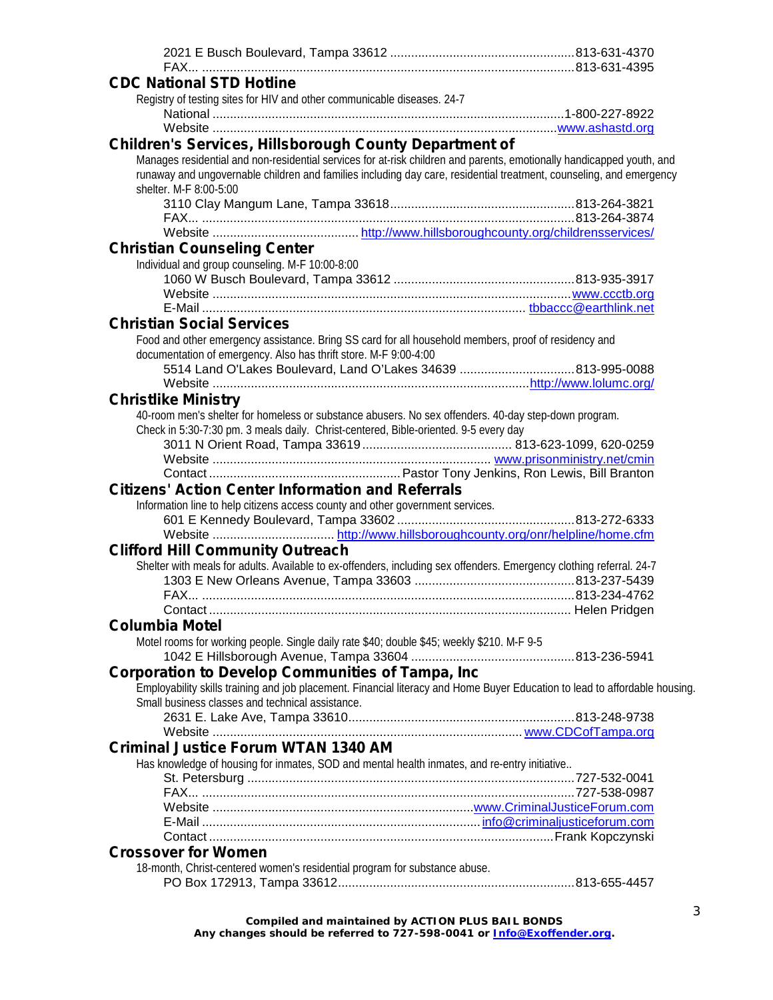| <b>CDC National STD Hotline</b>                                                                                                               |  |
|-----------------------------------------------------------------------------------------------------------------------------------------------|--|
| Registry of testing sites for HIV and other communicable diseases. 24-7                                                                       |  |
|                                                                                                                                               |  |
|                                                                                                                                               |  |
| <b>Children's Services, Hillsborough County Department of</b>                                                                                 |  |
| Manages residential and non-residential services for at-risk children and parents, emotionally handicapped youth, and                         |  |
| runaway and ungovernable children and families including day care, residential treatment, counseling, and emergency<br>shelter. M-F 8:00-5:00 |  |
|                                                                                                                                               |  |
|                                                                                                                                               |  |
| <b>Christian Counseling Center</b>                                                                                                            |  |
| Individual and group counseling. M-F 10:00-8:00                                                                                               |  |
|                                                                                                                                               |  |
|                                                                                                                                               |  |
|                                                                                                                                               |  |
| <b>Christian Social Services</b>                                                                                                              |  |
| Food and other emergency assistance. Bring SS card for all household members, proof of residency and                                          |  |
| documentation of emergency. Also has thrift store. M-F 9:00-4:00                                                                              |  |
|                                                                                                                                               |  |
|                                                                                                                                               |  |
| <b>Christlike Ministry</b>                                                                                                                    |  |
| 40-room men's shelter for homeless or substance abusers. No sex offenders. 40-day step-down program.                                          |  |
| Check in 5:30-7:30 pm. 3 meals daily. Christ-centered, Bible-oriented. 9-5 every day                                                          |  |
|                                                                                                                                               |  |
|                                                                                                                                               |  |
|                                                                                                                                               |  |
| <b>Citizens' Action Center Information and Referrals</b>                                                                                      |  |
| Information line to help citizens access county and other government services.                                                                |  |
|                                                                                                                                               |  |
|                                                                                                                                               |  |
| <b>Clifford Hill Community Outreach</b>                                                                                                       |  |
| Shelter with meals for adults. Available to ex-offenders, including sex offenders. Emergency clothing referral. 24-7                          |  |
|                                                                                                                                               |  |
|                                                                                                                                               |  |
|                                                                                                                                               |  |
| <b>Columbia Motel</b>                                                                                                                         |  |
| Motel rooms for working people. Single daily rate \$40; double \$45; weekly \$210. M-F 9-5                                                    |  |
|                                                                                                                                               |  |
| <b>Corporation to Develop Communities of Tampa, Inc</b>                                                                                       |  |
| Employability skills training and job placement. Financial literacy and Home Buyer Education to lead to affordable housing.                   |  |
| Small business classes and technical assistance.                                                                                              |  |
|                                                                                                                                               |  |
|                                                                                                                                               |  |
| <b>Criminal Justice Forum WTAN 1340 AM</b>                                                                                                    |  |
| Has knowledge of housing for inmates, SOD and mental health inmates, and re-entry initiative                                                  |  |
|                                                                                                                                               |  |
|                                                                                                                                               |  |
|                                                                                                                                               |  |
|                                                                                                                                               |  |
|                                                                                                                                               |  |
| <b>Crossover for Women</b>                                                                                                                    |  |
|                                                                                                                                               |  |
| 18-month, Christ-centered women's residential program for substance abuse.                                                                    |  |
|                                                                                                                                               |  |
|                                                                                                                                               |  |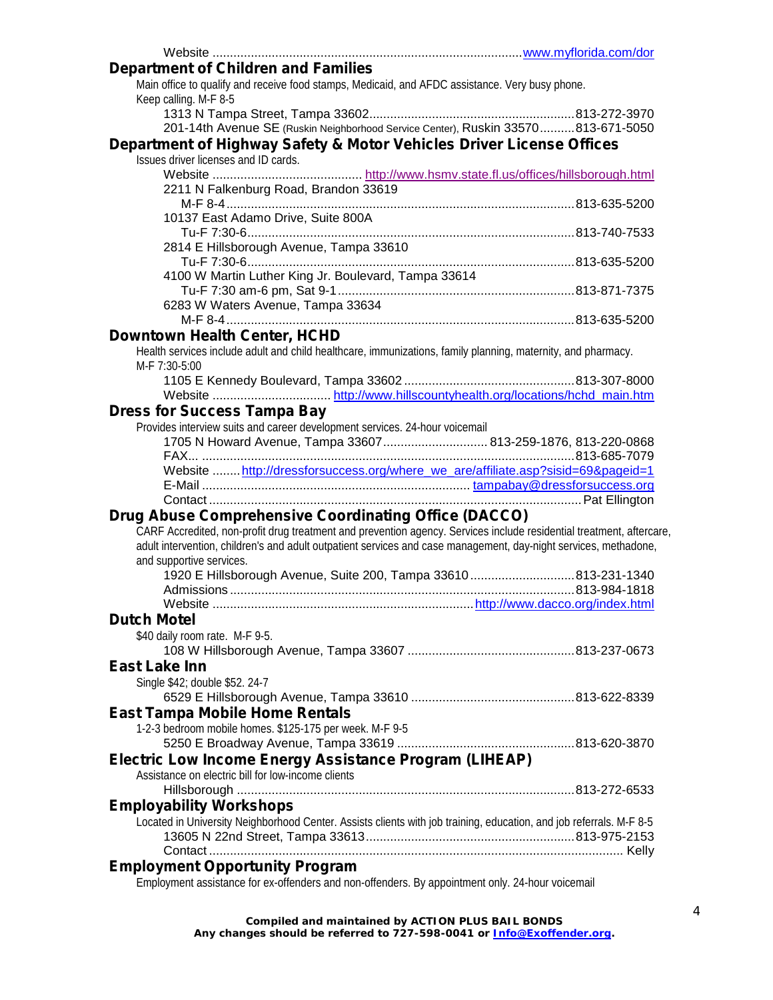| <b>Department of Children and Families</b>                                                                           |  |
|----------------------------------------------------------------------------------------------------------------------|--|
| Main office to qualify and receive food stamps, Medicaid, and AFDC assistance. Very busy phone.                      |  |
| Keep calling. M-F 8-5                                                                                                |  |
|                                                                                                                      |  |
| 201-14th Avenue SE (Ruskin Neighborhood Service Center), Ruskin 33570813-671-5050                                    |  |
|                                                                                                                      |  |
| Department of Highway Safety & Motor Vehicles Driver License Offices                                                 |  |
| Issues driver licenses and ID cards.                                                                                 |  |
|                                                                                                                      |  |
| 2211 N Falkenburg Road, Brandon 33619                                                                                |  |
|                                                                                                                      |  |
| 10137 East Adamo Drive, Suite 800A                                                                                   |  |
|                                                                                                                      |  |
| 2814 E Hillsborough Avenue, Tampa 33610                                                                              |  |
|                                                                                                                      |  |
| 4100 W Martin Luther King Jr. Boulevard, Tampa 33614                                                                 |  |
|                                                                                                                      |  |
| 6283 W Waters Avenue, Tampa 33634                                                                                    |  |
|                                                                                                                      |  |
| <b>Downtown Health Center, HCHD</b>                                                                                  |  |
| Health services include adult and child healthcare, immunizations, family planning, maternity, and pharmacy.         |  |
| M-F 7:30-5:00                                                                                                        |  |
|                                                                                                                      |  |
|                                                                                                                      |  |
| <b>Dress for Success Tampa Bay</b>                                                                                   |  |
| Provides interview suits and career development services. 24-hour voicemail                                          |  |
| 1705 N Howard Avenue, Tampa 33607 813-259-1876, 813-220-0868                                                         |  |
|                                                                                                                      |  |
| Website  http://dressforsuccess.org/where we are/affiliate.asp?sisid=69&pageid=1                                     |  |
|                                                                                                                      |  |
|                                                                                                                      |  |
| <b>Drug Abuse Comprehensive Coordinating Office (DACCO)</b>                                                          |  |
|                                                                                                                      |  |
| CARF Accredited, non-profit drug treatment and prevention agency. Services include residential treatment, aftercare, |  |
| adult intervention, children's and adult outpatient services and case management, day-night services, methadone,     |  |
| and supportive services.                                                                                             |  |
| 1920 E Hillsborough Avenue, Suite 200, Tampa 33610813-231-1340                                                       |  |
|                                                                                                                      |  |
|                                                                                                                      |  |
| <b>Dutch Motel</b>                                                                                                   |  |
| \$40 daily room rate. M-F 9-5.                                                                                       |  |
|                                                                                                                      |  |
| <b>East Lake Inn</b>                                                                                                 |  |
| Single \$42; double \$52. 24-7                                                                                       |  |
|                                                                                                                      |  |
| <b>East Tampa Mobile Home Rentals</b>                                                                                |  |
| 1-2-3 bedroom mobile homes. \$125-175 per week. M-F 9-5                                                              |  |
|                                                                                                                      |  |
| Electric Low Income Energy Assistance Program (LIHEAP)                                                               |  |
| Assistance on electric bill for low-income clients                                                                   |  |
|                                                                                                                      |  |
|                                                                                                                      |  |
| <b>Employability Workshops</b>                                                                                       |  |
| Located in University Neighborhood Center. Assists clients with job training, education, and job referrals. M-F 8-5  |  |
|                                                                                                                      |  |
|                                                                                                                      |  |
| <b>Employment Opportunity Program</b>                                                                                |  |
| Employment assistance for ex-offenders and non-offenders. By appointment only. 24-hour voicemail                     |  |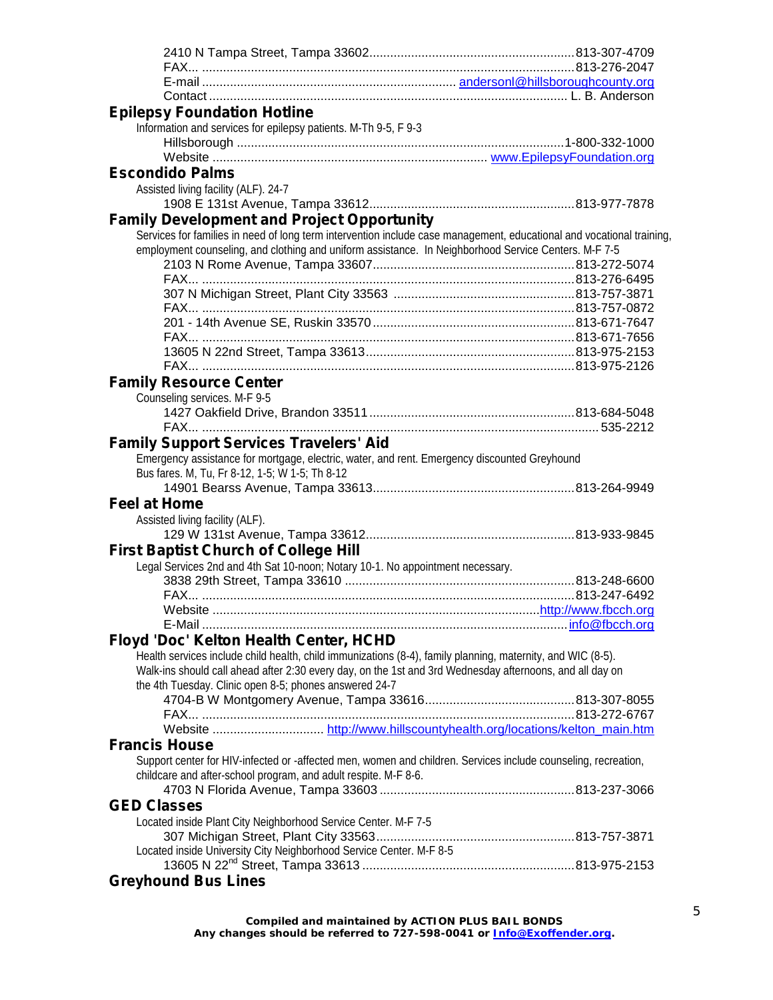| <b>Epilepsy Foundation Hotline</b>                                                                                    |  |
|-----------------------------------------------------------------------------------------------------------------------|--|
| Information and services for epilepsy patients. M-Th 9-5, F 9-3                                                       |  |
|                                                                                                                       |  |
|                                                                                                                       |  |
|                                                                                                                       |  |
| <b>Escondido Palms</b>                                                                                                |  |
| Assisted living facility (ALF). 24-7                                                                                  |  |
|                                                                                                                       |  |
| <b>Family Development and Project Opportunity</b>                                                                     |  |
| Services for families in need of long term intervention include case management, educational and vocational training, |  |
| employment counseling, and clothing and uniform assistance. In Neighborhood Service Centers. M-F 7-5                  |  |
|                                                                                                                       |  |
|                                                                                                                       |  |
|                                                                                                                       |  |
|                                                                                                                       |  |
|                                                                                                                       |  |
|                                                                                                                       |  |
|                                                                                                                       |  |
|                                                                                                                       |  |
|                                                                                                                       |  |
| <b>Family Resource Center</b>                                                                                         |  |
| Counseling services. M-F 9-5                                                                                          |  |
|                                                                                                                       |  |
|                                                                                                                       |  |
| <b>Family Support Services Travelers' Aid</b>                                                                         |  |
|                                                                                                                       |  |
| Emergency assistance for mortgage, electric, water, and rent. Emergency discounted Greyhound                          |  |
| Bus fares. M, Tu, Fr 8-12, 1-5; W 1-5; Th 8-12                                                                        |  |
|                                                                                                                       |  |
| <b>Feel at Home</b>                                                                                                   |  |
| Assisted living facility (ALF).                                                                                       |  |
|                                                                                                                       |  |
| <b>First Baptist Church of College Hill</b>                                                                           |  |
| Legal Services 2nd and 4th Sat 10-noon; Notary 10-1. No appointment necessary.                                        |  |
|                                                                                                                       |  |
|                                                                                                                       |  |
|                                                                                                                       |  |
|                                                                                                                       |  |
|                                                                                                                       |  |
| Floyd 'Doc' Kelton Health Center, HCHD                                                                                |  |
| Health services include child health, child immunizations (8-4), family planning, maternity, and WIC (8-5).           |  |
| Walk-ins should call ahead after 2:30 every day, on the 1st and 3rd Wednesday afternoons, and all day on              |  |
| the 4th Tuesday. Clinic open 8-5; phones answered 24-7                                                                |  |
|                                                                                                                       |  |
|                                                                                                                       |  |
|                                                                                                                       |  |
| <b>Francis House</b>                                                                                                  |  |
| Support center for HIV-infected or -affected men, women and children. Services include counseling, recreation,        |  |
| childcare and after-school program, and adult respite. M-F 8-6.                                                       |  |
|                                                                                                                       |  |
|                                                                                                                       |  |
| <b>GED Classes</b>                                                                                                    |  |
| Located inside Plant City Neighborhood Service Center. M-F 7-5                                                        |  |
|                                                                                                                       |  |
| Located inside University City Neighborhood Service Center. M-F 8-5                                                   |  |
|                                                                                                                       |  |
|                                                                                                                       |  |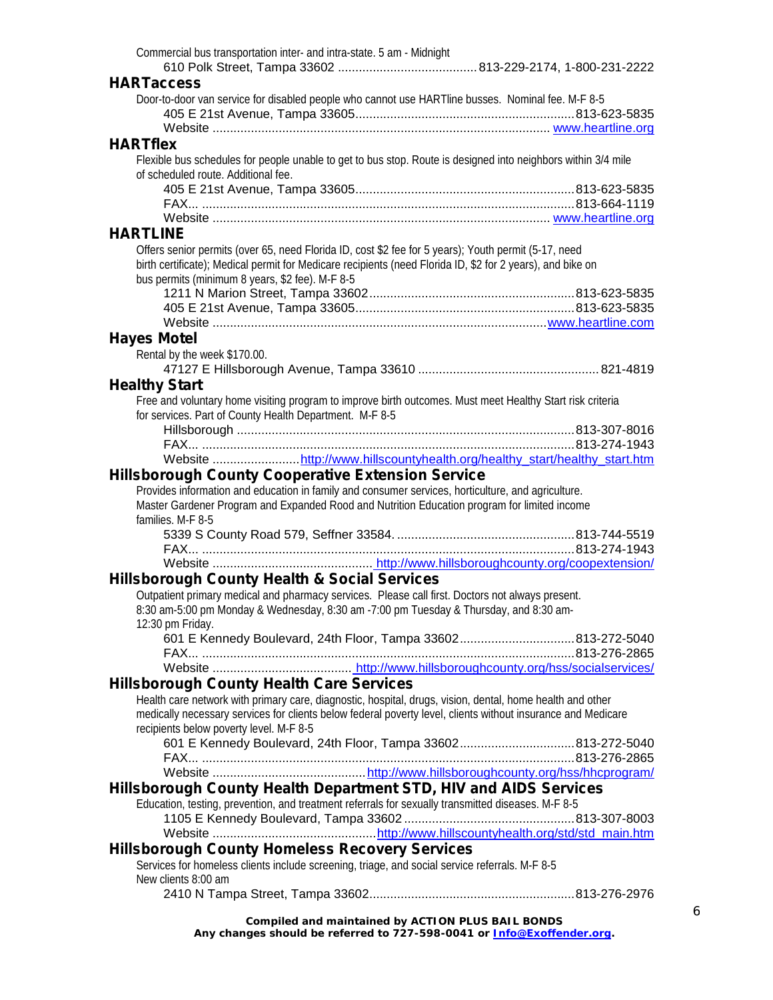| Commercial bus transportation inter- and intra-state. 5 am - Midnight                                                                                                                              |  |
|----------------------------------------------------------------------------------------------------------------------------------------------------------------------------------------------------|--|
|                                                                                                                                                                                                    |  |
| <b>HARTaccess</b>                                                                                                                                                                                  |  |
| Door-to-door van service for disabled people who cannot use HARTline busses. Nominal fee. M-F 8-5                                                                                                  |  |
|                                                                                                                                                                                                    |  |
|                                                                                                                                                                                                    |  |
| <b>HARTflex</b>                                                                                                                                                                                    |  |
| Flexible bus schedules for people unable to get to bus stop. Route is designed into neighbors within 3/4 mile                                                                                      |  |
| of scheduled route. Additional fee.                                                                                                                                                                |  |
|                                                                                                                                                                                                    |  |
|                                                                                                                                                                                                    |  |
|                                                                                                                                                                                                    |  |
| <b>HARTLINE</b>                                                                                                                                                                                    |  |
| Offers senior permits (over 65, need Florida ID, cost \$2 fee for 5 years); Youth permit (5-17, need                                                                                               |  |
| birth certificate); Medical permit for Medicare recipients (need Florida ID, \$2 for 2 years), and bike on                                                                                         |  |
| bus permits (minimum 8 years, \$2 fee). M-F 8-5                                                                                                                                                    |  |
|                                                                                                                                                                                                    |  |
|                                                                                                                                                                                                    |  |
|                                                                                                                                                                                                    |  |
| <b>Hayes Motel</b>                                                                                                                                                                                 |  |
| Rental by the week \$170.00.                                                                                                                                                                       |  |
|                                                                                                                                                                                                    |  |
| <b>Healthy Start</b>                                                                                                                                                                               |  |
| Free and voluntary home visiting program to improve birth outcomes. Must meet Healthy Start risk criteria                                                                                          |  |
| for services. Part of County Health Department. M-F 8-5                                                                                                                                            |  |
|                                                                                                                                                                                                    |  |
|                                                                                                                                                                                                    |  |
| Website http://www.hillscountyhealth.org/healthy start/healthy start.htm                                                                                                                           |  |
| <b>Hillsborough County Cooperative Extension Service</b>                                                                                                                                           |  |
|                                                                                                                                                                                                    |  |
|                                                                                                                                                                                                    |  |
| Provides information and education in family and consumer services, horticulture, and agriculture.<br>Master Gardener Program and Expanded Rood and Nutrition Education program for limited income |  |
| families. M-F 8-5                                                                                                                                                                                  |  |
|                                                                                                                                                                                                    |  |
|                                                                                                                                                                                                    |  |
|                                                                                                                                                                                                    |  |
| <b>Hillsborough County Health &amp; Social Services</b>                                                                                                                                            |  |
| Outpatient primary medical and pharmacy services. Please call first. Doctors not always present.                                                                                                   |  |
| 8:30 am-5:00 pm Monday & Wednesday, 8:30 am -7:00 pm Tuesday & Thursday, and 8:30 am-                                                                                                              |  |
| 12:30 pm Friday.                                                                                                                                                                                   |  |
|                                                                                                                                                                                                    |  |
|                                                                                                                                                                                                    |  |
|                                                                                                                                                                                                    |  |
| <b>Hillsborough County Health Care Services</b>                                                                                                                                                    |  |
| Health care network with primary care, diagnostic, hospital, drugs, vision, dental, home health and other                                                                                          |  |
| medically necessary services for clients below federal poverty level, clients without insurance and Medicare                                                                                       |  |
| recipients below poverty level. M-F 8-5                                                                                                                                                            |  |
| 601 E Kennedy Boulevard, 24th Floor, Tampa 33602813-272-5040                                                                                                                                       |  |
|                                                                                                                                                                                                    |  |
|                                                                                                                                                                                                    |  |
| Hillsborough County Health Department STD, HIV and AIDS Services                                                                                                                                   |  |
| Education, testing, prevention, and treatment referrals for sexually transmitted diseases. M-F 8-5                                                                                                 |  |
|                                                                                                                                                                                                    |  |
|                                                                                                                                                                                                    |  |
| <b>Hillsborough County Homeless Recovery Services</b>                                                                                                                                              |  |
| Services for homeless clients include screening, triage, and social service referrals. M-F 8-5                                                                                                     |  |
| New clients 8:00 am                                                                                                                                                                                |  |
|                                                                                                                                                                                                    |  |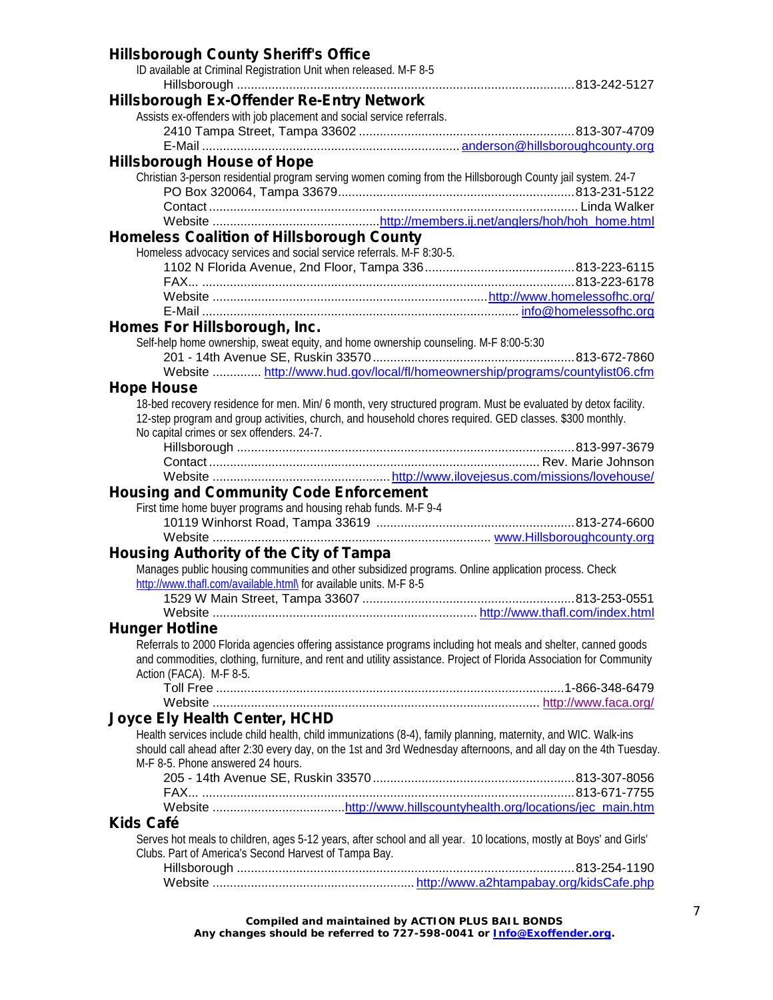| <b>Hillsborough County Sheriff's Office</b>                                                                         |  |
|---------------------------------------------------------------------------------------------------------------------|--|
| ID available at Criminal Registration Unit when released. M-F 8-5                                                   |  |
|                                                                                                                     |  |
| <b>Hillsborough Ex-Offender Re-Entry Network</b>                                                                    |  |
| Assists ex-offenders with job placement and social service referrals.                                               |  |
|                                                                                                                     |  |
|                                                                                                                     |  |
| <b>Hillsborough House of Hope</b>                                                                                   |  |
| Christian 3-person residential program serving women coming from the Hillsborough County jail system. 24-7          |  |
|                                                                                                                     |  |
|                                                                                                                     |  |
|                                                                                                                     |  |
| <b>Homeless Coalition of Hillsborough County</b>                                                                    |  |
| Homeless advocacy services and social service referrals. M-F 8:30-5.                                                |  |
|                                                                                                                     |  |
|                                                                                                                     |  |
|                                                                                                                     |  |
|                                                                                                                     |  |
| Homes For Hillsborough, Inc.                                                                                        |  |
| Self-help home ownership, sweat equity, and home ownership counseling. M-F 8:00-5:30                                |  |
|                                                                                                                     |  |
| Website  http://www.hud.gov/local/fl/homeownership/programs/countylist06.cfm                                        |  |
| <b>Hope House</b>                                                                                                   |  |
| 18-bed recovery residence for men. Min/ 6 month, very structured program. Must be evaluated by detox facility.      |  |
| 12-step program and group activities, church, and household chores required. GED classes. \$300 monthly.            |  |
| No capital crimes or sex offenders. 24-7.                                                                           |  |
|                                                                                                                     |  |
|                                                                                                                     |  |
|                                                                                                                     |  |
| <b>Housing and Community Code Enforcement</b>                                                                       |  |
| First time home buyer programs and housing rehab funds. M-F 9-4                                                     |  |
|                                                                                                                     |  |
| Website                                                                                                             |  |
| <b>Housing Authority of the City of Tampa</b>                                                                       |  |
| Manages public housing communities and other subsidized programs. Online application process. Check                 |  |
| http://www.thafl.com/available.html\ for available units. M-F 8-5                                                   |  |
|                                                                                                                     |  |
|                                                                                                                     |  |
| <b>Hunger Hotline</b>                                                                                               |  |
| Referrals to 2000 Florida agencies offering assistance programs including hot meals and shelter, canned goods       |  |
| and commodities, clothing, furniture, and rent and utility assistance. Project of Florida Association for Community |  |
| Action (FACA). M-F 8-5.                                                                                             |  |
|                                                                                                                     |  |
|                                                                                                                     |  |
| <b>Joyce Ely Health Center, HCHD</b>                                                                                |  |
| Health services include child health, child immunizations (8-4), family planning, maternity, and WIC. Walk-ins      |  |
| should call ahead after 2:30 every day, on the 1st and 3rd Wednesday afternoons, and all day on the 4th Tuesday.    |  |
| M-F 8-5. Phone answered 24 hours.                                                                                   |  |
|                                                                                                                     |  |
|                                                                                                                     |  |
|                                                                                                                     |  |
| <b>Kids Café</b>                                                                                                    |  |
| Serves hot meals to children, ages 5-12 years, after school and all year. 10 locations, mostly at Boys' and Girls'  |  |
| Clubs. Part of America's Second Harvest of Tampa Bay.                                                               |  |
|                                                                                                                     |  |
|                                                                                                                     |  |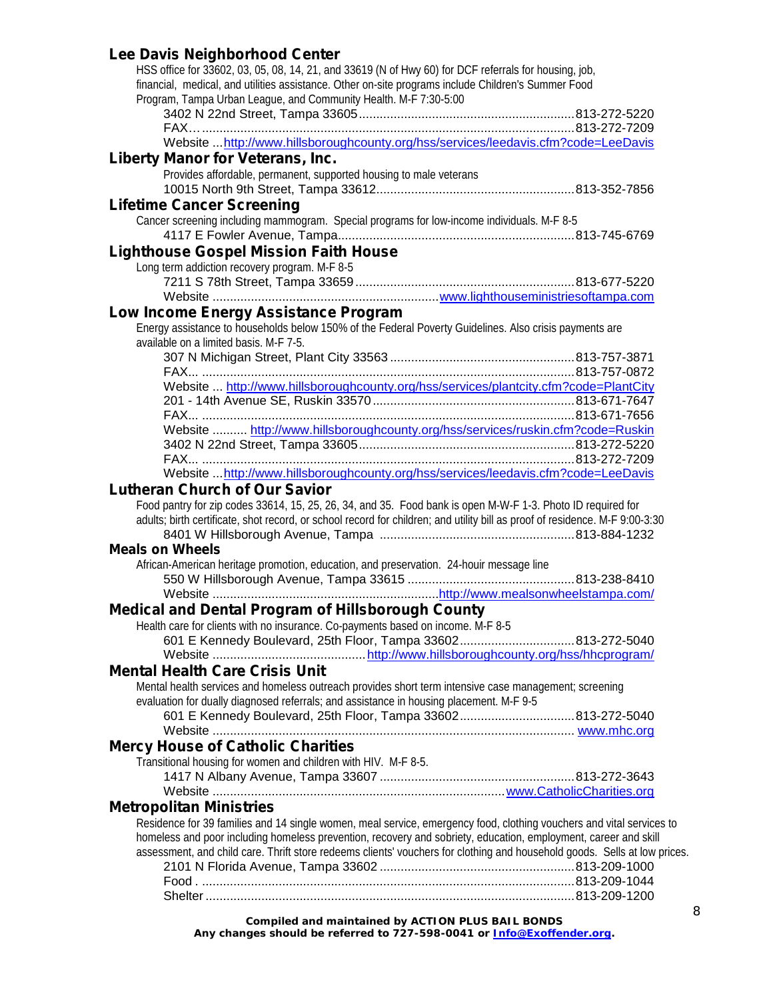## **Lee Davis Neighborhood Center**

| HSS office for 33602, 03, 05, 08, 14, 21, and 33619 (N of Hwy 60) for DCF referrals for housing, job,                                                                                            |  |
|--------------------------------------------------------------------------------------------------------------------------------------------------------------------------------------------------|--|
| financial, medical, and utilities assistance. Other on-site programs include Children's Summer Food<br>Program, Tampa Urban League, and Community Health. M-F 7:30-5:00                          |  |
|                                                                                                                                                                                                  |  |
|                                                                                                                                                                                                  |  |
| Website http://www.hillsboroughcounty.org/hss/services/leedavis.cfm?code=LeeDavis                                                                                                                |  |
| <b>Liberty Manor for Veterans, Inc.</b>                                                                                                                                                          |  |
| Provides affordable, permanent, supported housing to male veterans                                                                                                                               |  |
|                                                                                                                                                                                                  |  |
| <b>Lifetime Cancer Screening</b>                                                                                                                                                                 |  |
| Cancer screening including mammogram. Special programs for low-income individuals. M-F 8-5                                                                                                       |  |
|                                                                                                                                                                                                  |  |
| <b>Lighthouse Gospel Mission Faith House</b>                                                                                                                                                     |  |
| Long term addiction recovery program. M-F 8-5                                                                                                                                                    |  |
|                                                                                                                                                                                                  |  |
|                                                                                                                                                                                                  |  |
| Low Income Energy Assistance Program                                                                                                                                                             |  |
| Energy assistance to households below 150% of the Federal Poverty Guidelines. Also crisis payments are                                                                                           |  |
| available on a limited basis. M-F 7-5.                                                                                                                                                           |  |
|                                                                                                                                                                                                  |  |
|                                                                                                                                                                                                  |  |
| Website  http://www.hillsboroughcounty.org/hss/services/plantcity.cfm?code=PlantCity                                                                                                             |  |
|                                                                                                                                                                                                  |  |
| Website  http://www.hillsboroughcounty.org/hss/services/ruskin.cfm?code=Ruskin                                                                                                                   |  |
|                                                                                                                                                                                                  |  |
|                                                                                                                                                                                                  |  |
| Website  http://www.hillsboroughcounty.org/hss/services/leedavis.cfm?code=LeeDavis                                                                                                               |  |
| <b>Lutheran Church of Our Savior</b>                                                                                                                                                             |  |
| Food pantry for zip codes 33614, 15, 25, 26, 34, and 35. Food bank is open M-W-F 1-3. Photo ID required for                                                                                      |  |
| adults; birth certificate, shot record, or school record for children; and utility bill as proof of residence. M-F 9:00-3:30                                                                     |  |
|                                                                                                                                                                                                  |  |
| <b>Meals on Wheels</b>                                                                                                                                                                           |  |
| African-American heritage promotion, education, and preservation. 24-houir message line                                                                                                          |  |
|                                                                                                                                                                                                  |  |
|                                                                                                                                                                                                  |  |
| Medical and Dental Program of Hillsborough County                                                                                                                                                |  |
| Health care for clients with no insurance. Co-payments based on income. M-F 8-5                                                                                                                  |  |
| 601 E Kennedy Boulevard, 25th Floor, Tampa 33602813-272-5040                                                                                                                                     |  |
|                                                                                                                                                                                                  |  |
| <b>Mental Health Care Crisis Unit</b>                                                                                                                                                            |  |
| Mental health services and homeless outreach provides short term intensive case management; screening<br>evaluation for dually diagnosed referrals; and assistance in housing placement. M-F 9-5 |  |
| 601 E Kennedy Boulevard, 25th Floor, Tampa 33602813-272-5040                                                                                                                                     |  |
|                                                                                                                                                                                                  |  |
| <b>Mercy House of Catholic Charities</b>                                                                                                                                                         |  |
| Transitional housing for women and children with HIV. M-F 8-5.                                                                                                                                   |  |
|                                                                                                                                                                                                  |  |
|                                                                                                                                                                                                  |  |
| <b>Metropolitan Ministries</b>                                                                                                                                                                   |  |
| Residence for 39 families and 14 single women, meal service, emergency food, clothing vouchers and vital services to                                                                             |  |
| homeless and poor including homeless prevention, recovery and sobriety, education, employment, career and skill                                                                                  |  |
| assessment, and child care. Thrift store redeems clients' vouchers for clothing and household goods. Sells at low prices.                                                                        |  |
|                                                                                                                                                                                                  |  |
|                                                                                                                                                                                                  |  |
|                                                                                                                                                                                                  |  |
|                                                                                                                                                                                                  |  |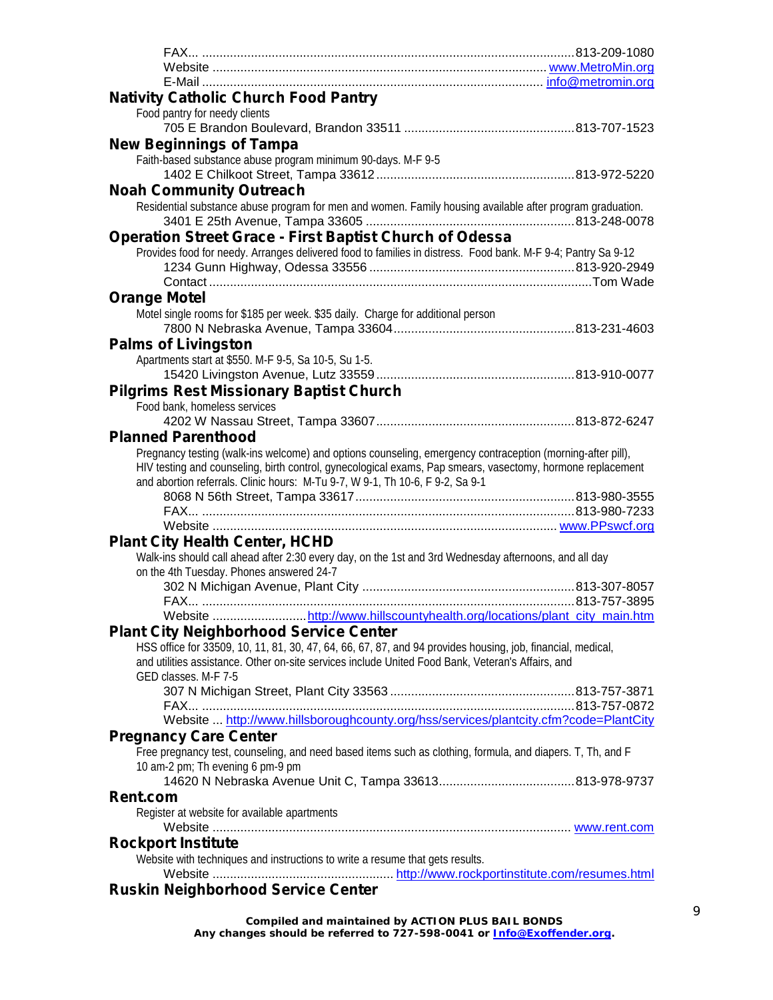| <b>Nativity Catholic Church Food Pantry</b>                                                                  |  |
|--------------------------------------------------------------------------------------------------------------|--|
| Food pantry for needy clients                                                                                |  |
|                                                                                                              |  |
| <b>New Beginnings of Tampa</b>                                                                               |  |
| Faith-based substance abuse program minimum 90-days. M-F 9-5                                                 |  |
|                                                                                                              |  |
|                                                                                                              |  |
| <b>Noah Community Outreach</b>                                                                               |  |
| Residential substance abuse program for men and women. Family housing available after program graduation.    |  |
|                                                                                                              |  |
| <b>Operation Street Grace - First Baptist Church of Odessa</b>                                               |  |
| Provides food for needy. Arranges delivered food to families in distress. Food bank. M-F 9-4; Pantry Sa 9-12 |  |
|                                                                                                              |  |
|                                                                                                              |  |
| <b>Orange Motel</b>                                                                                          |  |
| Motel single rooms for \$185 per week. \$35 daily. Charge for additional person                              |  |
|                                                                                                              |  |
| <b>Palms of Livingston</b>                                                                                   |  |
| Apartments start at \$550. M-F 9-5, Sa 10-5, Su 1-5.                                                         |  |
|                                                                                                              |  |
| <b>Pilgrims Rest Missionary Baptist Church</b>                                                               |  |
| Food bank, homeless services                                                                                 |  |
|                                                                                                              |  |
| <b>Planned Parenthood</b>                                                                                    |  |
|                                                                                                              |  |
| Pregnancy testing (walk-ins welcome) and options counseling, emergency contraception (morning-after pill),   |  |
| HIV testing and counseling, birth control, gynecological exams, Pap smears, vasectomy, hormone replacement   |  |
| and abortion referrals. Clinic hours: M-Tu 9-7, W 9-1, Th 10-6, F 9-2, Sa 9-1                                |  |
|                                                                                                              |  |
|                                                                                                              |  |
|                                                                                                              |  |
| <b>Plant City Health Center, HCHD</b>                                                                        |  |
| Walk-ins should call ahead after 2:30 every day, on the 1st and 3rd Wednesday afternoons, and all day        |  |
| on the 4th Tuesday. Phones answered 24-7                                                                     |  |
|                                                                                                              |  |
|                                                                                                              |  |
| Website http://www.hillscountyhealth.org/locations/plant_city_main.htm                                       |  |
| <b>Plant City Neighborhood Service Center</b>                                                                |  |
| HSS office for 33509, 10, 11, 81, 30, 47, 64, 66, 67, 87, and 94 provides housing, job, financial, medical,  |  |
| and utilities assistance. Other on-site services include United Food Bank, Veteran's Affairs, and            |  |
| GED classes. M-F 7-5                                                                                         |  |
|                                                                                                              |  |
|                                                                                                              |  |
| Website  http://www.hillsboroughcounty.org/hss/services/plantcity.cfm?code=PlantCity                         |  |
| <b>Pregnancy Care Center</b>                                                                                 |  |
| Free pregnancy test, counseling, and need based items such as clothing, formula, and diapers. T, Th, and F   |  |
| 10 am-2 pm; Th evening 6 pm-9 pm                                                                             |  |
|                                                                                                              |  |
| <b>Rent.com</b>                                                                                              |  |
| Register at website for available apartments                                                                 |  |
|                                                                                                              |  |
|                                                                                                              |  |
| <b>Rockport Institute</b>                                                                                    |  |
| Website with techniques and instructions to write a resume that gets results.                                |  |
|                                                                                                              |  |
| <b>Ruskin Neighborhood Service Center</b>                                                                    |  |
|                                                                                                              |  |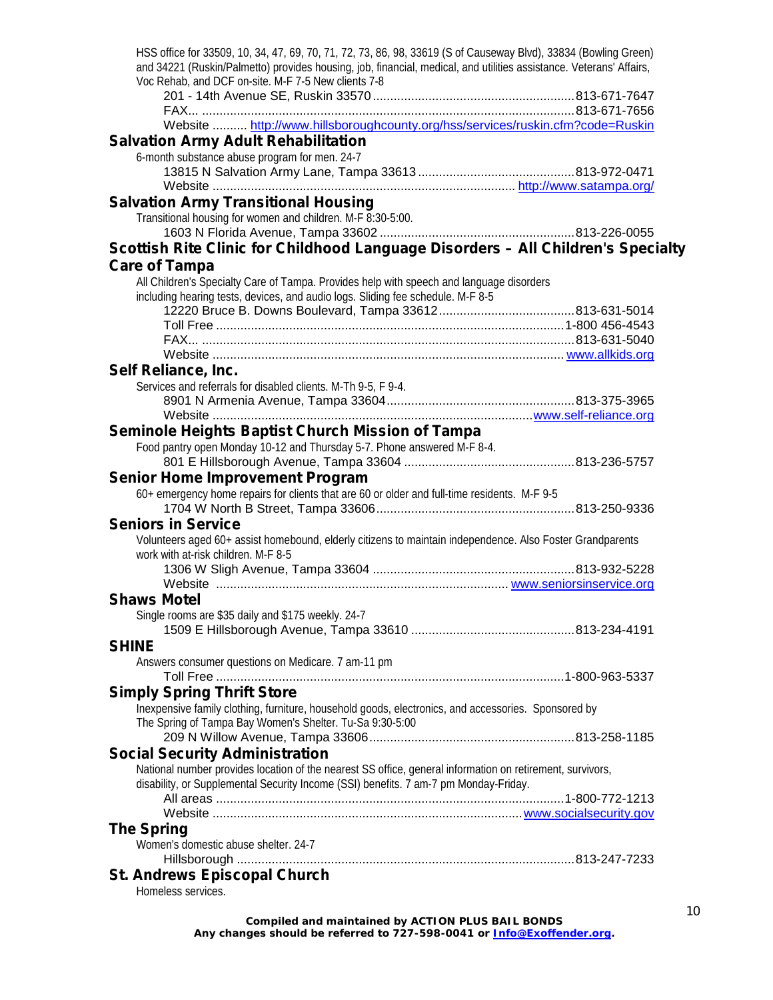| HSS office for 33509, 10, 34, 47, 69, 70, 71, 72, 73, 86, 98, 33619 (S of Causeway Blvd), 33834 (Bowling Green)<br>and 34221 (Ruskin/Palmetto) provides housing, job, financial, medical, and utilities assistance. Veterans' Affairs, |  |
|----------------------------------------------------------------------------------------------------------------------------------------------------------------------------------------------------------------------------------------|--|
| Voc Rehab, and DCF on-site. M-F 7-5 New clients 7-8                                                                                                                                                                                    |  |
|                                                                                                                                                                                                                                        |  |
|                                                                                                                                                                                                                                        |  |
| Website  http://www.hillsboroughcounty.org/hss/services/ruskin.cfm?code=Ruskin                                                                                                                                                         |  |
| <b>Salvation Army Adult Rehabilitation</b>                                                                                                                                                                                             |  |
| 6-month substance abuse program for men. 24-7                                                                                                                                                                                          |  |
| Website                                                                                                                                                                                                                                |  |
| <b>Salvation Army Transitional Housing</b>                                                                                                                                                                                             |  |
| Transitional housing for women and children. M-F 8:30-5:00.                                                                                                                                                                            |  |
|                                                                                                                                                                                                                                        |  |
| Scottish Rite Clinic for Childhood Language Disorders - All Children's Specialty                                                                                                                                                       |  |
| <b>Care of Tampa</b>                                                                                                                                                                                                                   |  |
| All Children's Specialty Care of Tampa. Provides help with speech and language disorders                                                                                                                                               |  |
| including hearing tests, devices, and audio logs. Sliding fee schedule. M-F 8-5                                                                                                                                                        |  |
|                                                                                                                                                                                                                                        |  |
|                                                                                                                                                                                                                                        |  |
|                                                                                                                                                                                                                                        |  |
| Self Reliance, Inc.                                                                                                                                                                                                                    |  |
| Services and referrals for disabled clients. M-Th 9-5, F 9-4.                                                                                                                                                                          |  |
|                                                                                                                                                                                                                                        |  |
|                                                                                                                                                                                                                                        |  |
| Seminole Heights Baptist Church Mission of Tampa                                                                                                                                                                                       |  |
| Food pantry open Monday 10-12 and Thursday 5-7. Phone answered M-F 8-4.                                                                                                                                                                |  |
|                                                                                                                                                                                                                                        |  |
| <b>Senior Home Improvement Program</b><br>60+ emergency home repairs for clients that are 60 or older and full-time residents. M-F 9-5                                                                                                 |  |
|                                                                                                                                                                                                                                        |  |
| <b>Seniors in Service</b>                                                                                                                                                                                                              |  |
| Volunteers aged 60+ assist homebound, elderly citizens to maintain independence. Also Foster Grandparents                                                                                                                              |  |
| work with at-risk children. M-F 8-5                                                                                                                                                                                                    |  |
|                                                                                                                                                                                                                                        |  |
|                                                                                                                                                                                                                                        |  |
| <b>Shaws Motel</b>                                                                                                                                                                                                                     |  |
| Single rooms are \$35 daily and \$175 weekly. 24-7                                                                                                                                                                                     |  |
| <b>SHINE</b>                                                                                                                                                                                                                           |  |
| Answers consumer questions on Medicare. 7 am-11 pm                                                                                                                                                                                     |  |
|                                                                                                                                                                                                                                        |  |
| <b>Simply Spring Thrift Store</b>                                                                                                                                                                                                      |  |
| Inexpensive family clothing, furniture, household goods, electronics, and accessories. Sponsored by                                                                                                                                    |  |
| The Spring of Tampa Bay Women's Shelter. Tu-Sa 9:30-5:00                                                                                                                                                                               |  |
|                                                                                                                                                                                                                                        |  |
| <b>Social Security Administration</b>                                                                                                                                                                                                  |  |
| National number provides location of the nearest SS office, general information on retirement, survivors,                                                                                                                              |  |
| disability, or Supplemental Security Income (SSI) benefits. 7 am-7 pm Monday-Friday.                                                                                                                                                   |  |
|                                                                                                                                                                                                                                        |  |
| <b>The Spring</b>                                                                                                                                                                                                                      |  |
| Women's domestic abuse shelter. 24-7                                                                                                                                                                                                   |  |
|                                                                                                                                                                                                                                        |  |
| <b>St. Andrews Episcopal Church</b>                                                                                                                                                                                                    |  |
| Homeless services.                                                                                                                                                                                                                     |  |
|                                                                                                                                                                                                                                        |  |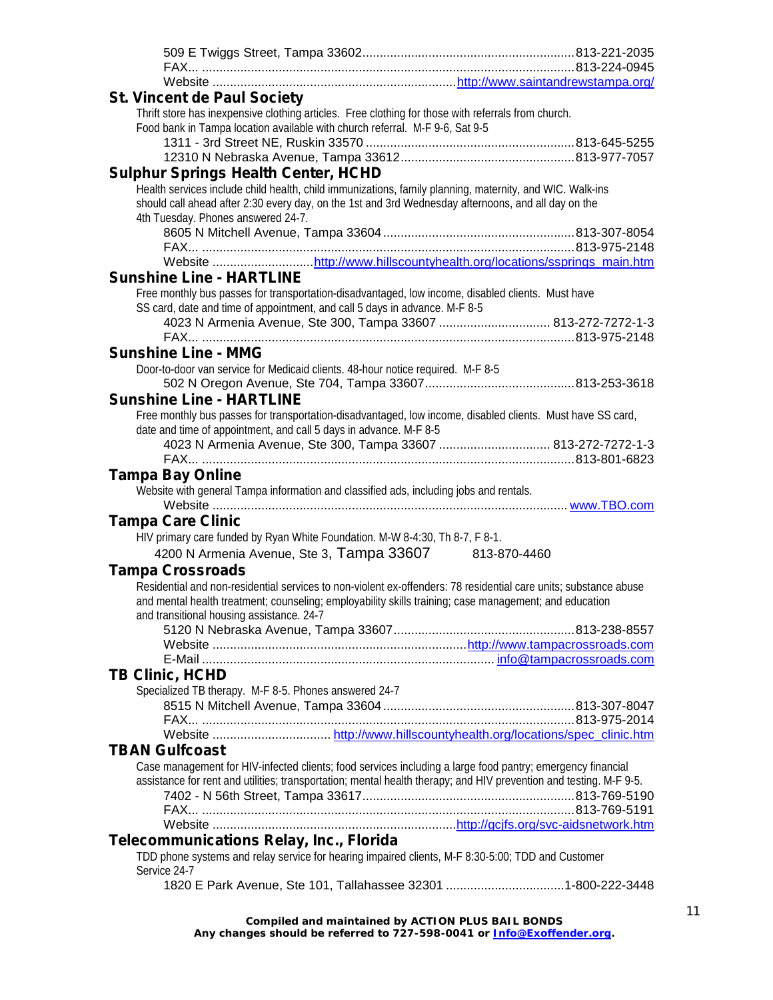| <b>St. Vincent de Paul Society</b><br>Thrift store has inexpensive clothing articles. Free clothing for those with referrals from church.   |  |
|---------------------------------------------------------------------------------------------------------------------------------------------|--|
| Food bank in Tampa location available with church referral. M-F 9-6, Sat 9-5                                                                |  |
|                                                                                                                                             |  |
|                                                                                                                                             |  |
| <b>Sulphur Springs Health Center, HCHD</b>                                                                                                  |  |
| Health services include child health, child immunizations, family planning, maternity, and WIC. Walk-ins                                    |  |
| should call ahead after 2:30 every day, on the 1st and 3rd Wednesday afternoons, and all day on the                                         |  |
| 4th Tuesday. Phones answered 24-7.                                                                                                          |  |
|                                                                                                                                             |  |
|                                                                                                                                             |  |
| Website http://www.hillscountyhealth.org/locations/ssprings_main.htm                                                                        |  |
| <b>Sunshine Line - HARTLINE</b>                                                                                                             |  |
| Free monthly bus passes for transportation-disadvantaged, low income, disabled clients. Must have                                           |  |
| SS card, date and time of appointment, and call 5 days in advance. M-F 8-5<br>4023 N Armenia Avenue, Ste 300, Tampa 33607  813-272-7272-1-3 |  |
|                                                                                                                                             |  |
| <b>Sunshine Line - MMG</b>                                                                                                                  |  |
| Door-to-door van service for Medicaid clients. 48-hour notice required. M-F 8-5                                                             |  |
|                                                                                                                                             |  |
| <b>Sunshine Line - HARTLINE</b>                                                                                                             |  |
| Free monthly bus passes for transportation-disadvantaged, low income, disabled clients. Must have SS card,                                  |  |
| date and time of appointment, and call 5 days in advance. M-F 8-5                                                                           |  |
| 4023 N Armenia Avenue, Ste 300, Tampa 33607  813-272-7272-1-3                                                                               |  |
|                                                                                                                                             |  |
| <b>Tampa Bay Online</b>                                                                                                                     |  |
| Website with general Tampa information and classified ads, including jobs and rentals.                                                      |  |
|                                                                                                                                             |  |
|                                                                                                                                             |  |
| <b>Tampa Care Clinic</b>                                                                                                                    |  |
| HIV primary care funded by Ryan White Foundation. M-W 8-4:30, Th 8-7, F 8-1.                                                                |  |
| 4200 N Armenia Avenue, Ste 3, Tampa 33607 813-870-4460                                                                                      |  |
| <b>Tampa Crossroads</b>                                                                                                                     |  |
| Residential and non-residential services to non-violent ex-offenders: 78 residential care units; substance abuse                            |  |
| and mental health treatment; counseling; employability skills training; case management; and education                                      |  |
| and transitional housing assistance. 24-7                                                                                                   |  |
|                                                                                                                                             |  |
|                                                                                                                                             |  |
|                                                                                                                                             |  |
| <b>TB Clinic, HCHD</b>                                                                                                                      |  |
| Specialized TB therapy. M-F 8-5. Phones answered 24-7                                                                                       |  |
|                                                                                                                                             |  |
|                                                                                                                                             |  |
| <b>TBAN Gulfcoast</b>                                                                                                                       |  |
| Case management for HIV-infected clients; food services including a large food pantry; emergency financial                                  |  |
| assistance for rent and utilities; transportation; mental health therapy; and HIV prevention and testing. M-F 9-5.                          |  |
|                                                                                                                                             |  |
|                                                                                                                                             |  |
|                                                                                                                                             |  |
| Telecommunications Relay, Inc., Florida                                                                                                     |  |
| TDD phone systems and relay service for hearing impaired clients, M-F 8:30-5:00; TDD and Customer                                           |  |
| Service 24-7                                                                                                                                |  |
| 1820 E Park Avenue, Ste 101, Tallahassee 32301 1-800-222-3448                                                                               |  |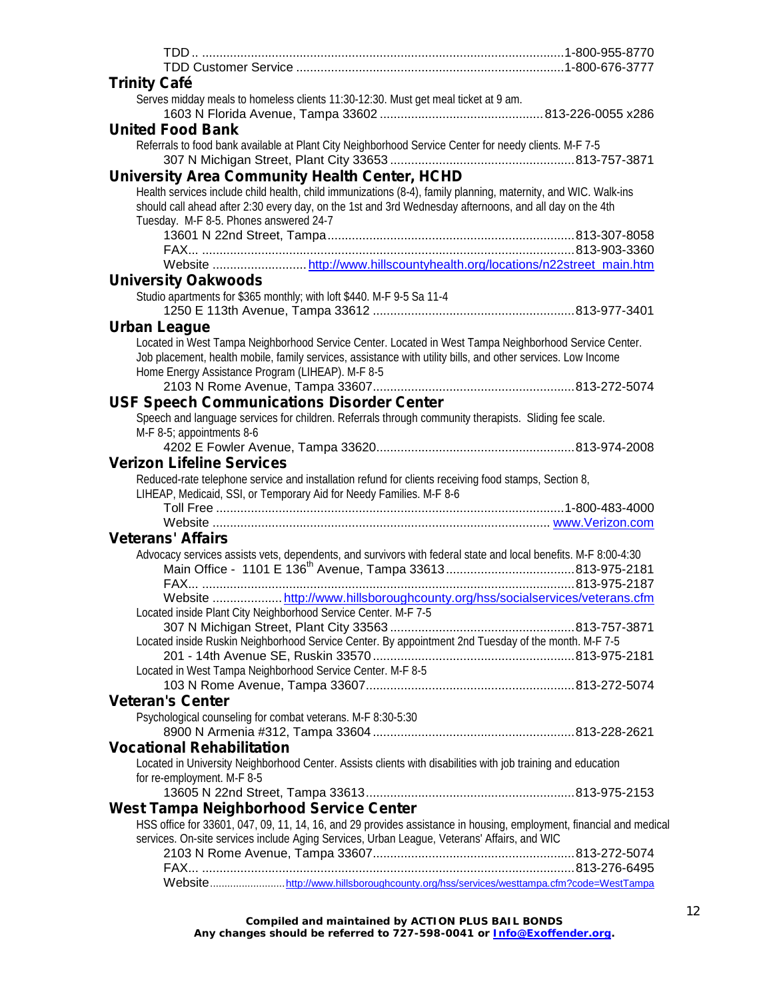| <b>Trinity Café</b>                                                                                                 |  |
|---------------------------------------------------------------------------------------------------------------------|--|
| Serves midday meals to homeless clients 11:30-12:30. Must get meal ticket at 9 am.                                  |  |
|                                                                                                                     |  |
| <b>United Food Bank</b>                                                                                             |  |
|                                                                                                                     |  |
| Referrals to food bank available at Plant City Neighborhood Service Center for needy clients. M-F 7-5               |  |
|                                                                                                                     |  |
| University Area Community Health Center, HCHD                                                                       |  |
| Health services include child health, child immunizations (8-4), family planning, maternity, and WIC. Walk-ins      |  |
| should call ahead after 2:30 every day, on the 1st and 3rd Wednesday afternoons, and all day on the 4th             |  |
| Tuesday. M-F 8-5. Phones answered 24-7                                                                              |  |
|                                                                                                                     |  |
|                                                                                                                     |  |
| Website http://www.hillscountyhealth.org/locations/n22street_main.htm                                               |  |
| <b>University Oakwoods</b>                                                                                          |  |
| Studio apartments for \$365 monthly; with loft \$440. M-F 9-5 Sa 11-4                                               |  |
|                                                                                                                     |  |
| Urban League                                                                                                        |  |
| Located in West Tampa Neighborhood Service Center. Located in West Tampa Neighborhood Service Center.               |  |
| Job placement, health mobile, family services, assistance with utility bills, and other services. Low Income        |  |
| Home Energy Assistance Program (LIHEAP). M-F 8-5                                                                    |  |
|                                                                                                                     |  |
|                                                                                                                     |  |
| <b>USF Speech Communications Disorder Center</b>                                                                    |  |
| Speech and language services for children. Referrals through community therapists. Sliding fee scale.               |  |
| M-F 8-5; appointments 8-6                                                                                           |  |
|                                                                                                                     |  |
| <b>Verizon Lifeline Services</b>                                                                                    |  |
|                                                                                                                     |  |
| Reduced-rate telephone service and installation refund for clients receiving food stamps, Section 8,                |  |
| LIHEAP, Medicaid, SSI, or Temporary Aid for Needy Families. M-F 8-6                                                 |  |
|                                                                                                                     |  |
|                                                                                                                     |  |
| <b>Veterans' Affairs</b>                                                                                            |  |
|                                                                                                                     |  |
| Advocacy services assists vets, dependents, and survivors with federal state and local benefits. M-F 8:00-4:30      |  |
|                                                                                                                     |  |
| FAX                                                                                                                 |  |
| Website http://www.hillsboroughcounty.org/hss/socialservices/veterans.cfm                                           |  |
| Located inside Plant City Neighborhood Service Center. M-F 7-5                                                      |  |
|                                                                                                                     |  |
| Located inside Ruskin Neighborhood Service Center. By appointment 2nd Tuesday of the month. M-F 7-5                 |  |
|                                                                                                                     |  |
| Located in West Tampa Neighborhood Service Center. M-F 8-5                                                          |  |
|                                                                                                                     |  |
| <b>Veteran's Center</b>                                                                                             |  |
| Psychological counseling for combat veterans. M-F 8:30-5:30                                                         |  |
|                                                                                                                     |  |
| <b>Vocational Rehabilitation</b>                                                                                    |  |
| Located in University Neighborhood Center. Assists clients with disabilities with job training and education        |  |
| for re-employment. M-F 8-5                                                                                          |  |
|                                                                                                                     |  |
| <b>West Tampa Neighborhood Service Center</b>                                                                       |  |
| HSS office for 33601, 047, 09, 11, 14, 16, and 29 provides assistance in housing, employment, financial and medical |  |
|                                                                                                                     |  |
| services. On-site services include Aging Services, Urban League, Veterans' Affairs, and WIC                         |  |
|                                                                                                                     |  |